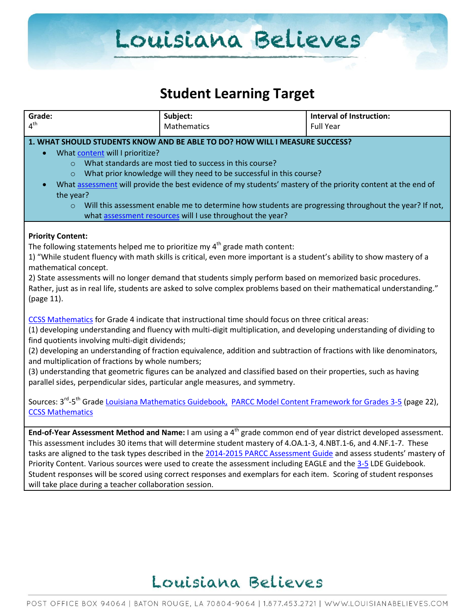### **Student Learning Target**

| Grade:                                                                                                                                                                                                                                                                                                                                                                                                                                                                                                                                                                                                                                                                                                                                                                                                                                      | Subject:                                                                                                                                                                                                                                                                                                                                                                                                                                                                                                                                                                                                  | <b>Interval of Instruction:</b> |  |  |
|---------------------------------------------------------------------------------------------------------------------------------------------------------------------------------------------------------------------------------------------------------------------------------------------------------------------------------------------------------------------------------------------------------------------------------------------------------------------------------------------------------------------------------------------------------------------------------------------------------------------------------------------------------------------------------------------------------------------------------------------------------------------------------------------------------------------------------------------|-----------------------------------------------------------------------------------------------------------------------------------------------------------------------------------------------------------------------------------------------------------------------------------------------------------------------------------------------------------------------------------------------------------------------------------------------------------------------------------------------------------------------------------------------------------------------------------------------------------|---------------------------------|--|--|
| 4 <sup>th</sup>                                                                                                                                                                                                                                                                                                                                                                                                                                                                                                                                                                                                                                                                                                                                                                                                                             | <b>Mathematics</b>                                                                                                                                                                                                                                                                                                                                                                                                                                                                                                                                                                                        | <b>Full Year</b>                |  |  |
| 1. WHAT SHOULD STUDENTS KNOW AND BE ABLE TO DO? HOW WILL I MEASURE SUCCESS?<br>What content will I prioritize?<br>What standards are most tied to success in this course?<br>$\circ$<br>What prior knowledge will they need to be successful in this course?<br>$\Omega$<br>What assessment will provide the best evidence of my students' mastery of the priority content at the end of<br>the year?                                                                                                                                                                                                                                                                                                                                                                                                                                       |                                                                                                                                                                                                                                                                                                                                                                                                                                                                                                                                                                                                           |                                 |  |  |
| Will this assessment enable me to determine how students are progressing throughout the year? If not,<br>$\circ$<br>what assessment resources will I use throughout the year?                                                                                                                                                                                                                                                                                                                                                                                                                                                                                                                                                                                                                                                               |                                                                                                                                                                                                                                                                                                                                                                                                                                                                                                                                                                                                           |                                 |  |  |
| <b>Priority Content:</b><br>The following statements helped me to prioritize my $4th$ grade math content:<br>1) "While student fluency with math skills is critical, even more important is a student's ability to show mastery of a<br>mathematical concept.<br>2) State assessments will no longer demand that students simply perform based on memorized basic procedures.<br>Rather, just as in real life, students are asked to solve complex problems based on their mathematical understanding."<br>(page 11).                                                                                                                                                                                                                                                                                                                       |                                                                                                                                                                                                                                                                                                                                                                                                                                                                                                                                                                                                           |                                 |  |  |
| CCSS Mathematics for Grade 4 indicate that instructional time should focus on three critical areas:<br>(1) developing understanding and fluency with multi-digit multiplication, and developing understanding of dividing to<br>find quotients involving multi-digit dividends;<br>(2) developing an understanding of fraction equivalence, addition and subtraction of fractions with like denominators,<br>and multiplication of fractions by whole numbers;<br>(3) understanding that geometric figures can be analyzed and classified based on their properties, such as having<br>parallel sides, perpendicular sides, particular angle measures, and symmetry.<br>Sources: 3 <sup>rd</sup> -5 <sup>th</sup> Grade Louisiana Mathematics Guidebook, PARCC Model Content Framework for Grades 3-5 (page 22),<br><b>CCSS Mathematics</b> |                                                                                                                                                                                                                                                                                                                                                                                                                                                                                                                                                                                                           |                                 |  |  |
| will take place during a teacher collaboration session.                                                                                                                                                                                                                                                                                                                                                                                                                                                                                                                                                                                                                                                                                                                                                                                     | End-of-Year Assessment Method and Name: I am using a $4th$ grade common end of year district developed assessment.<br>This assessment includes 30 items that will determine student mastery of 4.OA.1-3, 4.NBT.1-6, and 4.NF.1-7. These<br>tasks are aligned to the task types described in the 2014-2015 PARCC Assessment Guide and assess students' mastery of<br>Priority Content. Various sources were used to create the assessment including EAGLE and the 3-5 LDE Guidebook.<br>Student responses will be scored using correct responses and exemplars for each item. Scoring of student responses |                                 |  |  |

### Louisiana Believes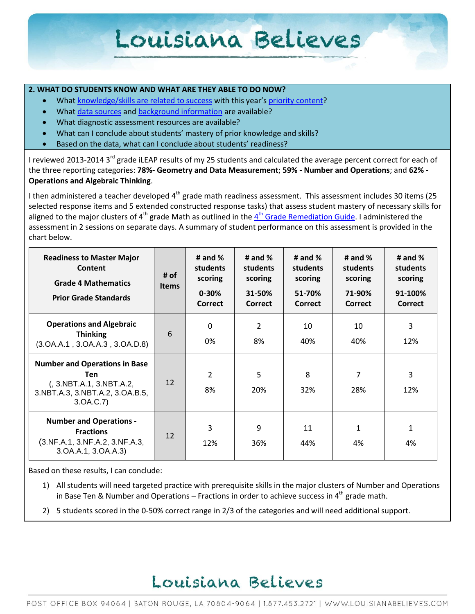#### **2. WHAT DO STUDENTS KNOW AND WHAT ARE THEY ABLE TO DO NOW?**

- Wha[t knowledge/skills are related to success](http://www.louisianabelieves.com/academics/2014-2015-curricular-package) with this year's [priority content?](http://www.louisianabelieves.com/resources/classroom-support-toolbox/teacher-support-toolbox/standards)
- Wha[t data sources](http://www.louisianabelieves.com/resources/classroom-support-toolbox/teacher-support-toolbox/student-achievement-results) and [background information](http://www.louisianabelieves.com/resources/library/data-center) are available?
- What diagnostic assessment resources are available?
- What can I conclude about students' mastery of prior knowledge and skills?
- Based on the data, what can I conclude about students' readiness?

I reviewed 2013-2014 3<sup>rd</sup> grade iLEAP results of my 25 students and calculated the average percent correct for each of the three reporting categories: **78%- Geometry and Data Measurement**; **59% - Number and Operations**; and **62% - Operations and Algebraic Thinking**.

I then administered a teacher developed 4<sup>th</sup> grade math readiness assessment. This assessment includes 30 items (25 selected response items and 5 extended constructed response tasks) that assess student mastery of necessary skills for aligned to the major clusters of 4<sup>th</sup> grade Math as outlined in the 4<sup>th</sup> [Grade Remediation Guide.](http://www.louisianabelieves.com/docs/default-source/teacher-toolbox-resources/4th-grade---math-remediation-guide.pdf?sfvrsn=3) I administered the assessment in 2 sessions on separate days. A summary of student performance on this assessment is provided in the chart below.

| <b>Readiness to Master Major</b><br>Content<br><b>Grade 4 Mathematics</b><br><b>Prior Grade Standards</b>               | # of<br><b>Items</b> | # and $%$<br>students<br>scoring<br>$0 - 30%$<br>Correct | # and $%$<br>students<br>scoring<br>31-50%<br><b>Correct</b> | # and $%$<br>students<br>scoring<br>51-70%<br>Correct | # and $%$<br>students<br>scoring<br>71-90%<br>Correct | # and $%$<br>students<br>scoring<br>91-100%<br>Correct |
|-------------------------------------------------------------------------------------------------------------------------|----------------------|----------------------------------------------------------|--------------------------------------------------------------|-------------------------------------------------------|-------------------------------------------------------|--------------------------------------------------------|
| <b>Operations and Algebraic</b><br><b>Thinking</b><br>(3.0A.A.1, 3.0A.A.3, 3.0A.D.8)                                    | 6                    | 0<br>0%                                                  | 2<br>8%                                                      | 10<br>40%                                             | 10<br>40%                                             | 3<br>12%                                               |
| <b>Number and Operations in Base</b><br>Ten<br>(, 3.NBT.A.1, 3.NBT.A.2,<br>3.NBT.A.3, 3.NBT.A.2, 3.OA.B.5,<br>3.0A.C.7) | 12                   | $\overline{2}$<br>8%                                     | 5<br>20%                                                     | 8<br>32%                                              | 7<br>28%                                              | 3<br>12%                                               |
| <b>Number and Operations -</b><br><b>Fractions</b><br>(3.NF.A.1, 3.NF.A.2, 3.NF.A.3,<br>3.0A.A.1, 3.0A.A.3)             | 12                   | 3<br>12%                                                 | 9<br>36%                                                     | 11<br>44%                                             | 1<br>4%                                               | 1<br>4%                                                |

Based on these results, I can conclude:

- 1) All students will need targeted practice with prerequisite skills in the major clusters of Number and Operations in Base Ten & Number and Operations – Fractions in order to achieve success in  $4^{th}$  grade math.
- 2) 5 students scored in the 0-50% correct range in 2/3 of the categories and will need additional support.

### Louisiana Believes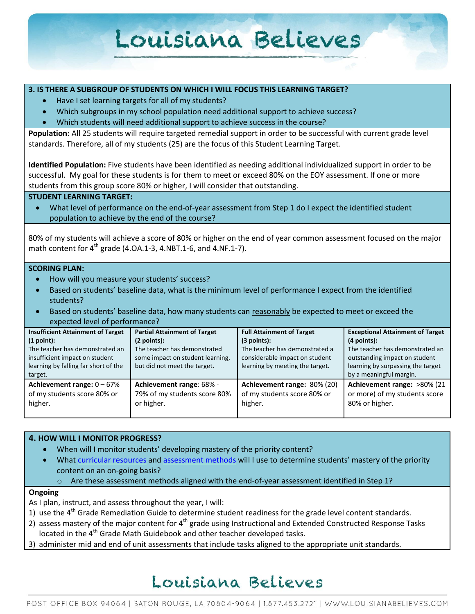#### **3. IS THERE A SUBGROUP OF STUDENTS ON WHICH I WILL FOCUS THIS LEARNING TARGET?**

- Have I set learning targets for all of my students?
- Which subgroups in my school population need additional support to achieve success?
- Which students will need additional support to achieve success in the course?

**Population:** All 25 students will require targeted remedial support in order to be successful with current grade level standards. Therefore, all of my students (25) are the focus of this Student Learning Target.

**Identified Population:** Five students have been identified as needing additional individualized support in order to be successful. My goal for these students is for them to meet or exceed 80% on the EOY assessment. If one or more students from this group score 80% or higher, I will consider that outstanding.

#### **STUDENT LEARNING TARGET:**

 What level of performance on the end-of-year assessment from Step 1 do I expect the identified student population to achieve by the end of the course?

80% of my students will achieve a score of 80% or higher on the end of year common assessment focused on the major math content for  $4^{th}$  grade (4.0A.1-3, 4.NBT.1-6, and 4.NF.1-7).

#### **SCORING PLAN:**

- How will you measure your students' success?
- Based on students' baseline data, what is the minimum level of performance I expect from the identified students?
- Based on students' baseline data, how many students can reasonably be expected to meet or exceed the expected level of performance?

| <b>Insufficient Attainment of Target</b>                                | <b>Partial Attainment of Target</b>                                    | <b>Full Attainment of Target</b>                                      | <b>Exceptional Attainment of Target</b>                                        |
|-------------------------------------------------------------------------|------------------------------------------------------------------------|-----------------------------------------------------------------------|--------------------------------------------------------------------------------|
| (1 point):                                                              | (2 points):                                                            | (3 points):                                                           | $(4$ points):                                                                  |
| The teacher has demonstrated an                                         | The teacher has demonstrated                                           | The teacher has demonstrated a                                        | The teacher has demonstrated an                                                |
| insufficient impact on student                                          | some impact on student learning,                                       | considerable impact on student                                        | outstanding impact on student                                                  |
| learning by falling far short of the                                    | but did not meet the target.                                           | learning by meeting the target.                                       | learning by surpassing the target                                              |
| target.                                                                 |                                                                        |                                                                       | by a meaningful margin.                                                        |
| Achievement range: $0 - 67\%$<br>of my students score 80% or<br>higher. | Achievement range: 68% -<br>79% of my students score 80%<br>or higher. | Achievement range: 80% (20)<br>of my students score 80% or<br>higher. | Achievement range: >80% (21<br>or more) of my students score<br>80% or higher. |
|                                                                         |                                                                        |                                                                       |                                                                                |

#### **4. HOW WILL I MONITOR PROGRESS?**

- When will I monitor students' developing mastery of the priority content?
- What [curricular resources](http://www.louisianabelieves.com/resources/library/year-long-scope-sequence) an[d assessment methods](http://www.louisianabelieves.com/resources/classroom-support-toolbox/teacher-support-toolbox/end-of-year-assessments) will I use to determine students' mastery of the priority content on an on-going basis?
	- o Are these assessment methods aligned with the end-of-year assessment identified in Step 1?

#### **Ongoing**

As I plan, instruct, and assess throughout the year, I will:

- 1) use the  $4<sup>th</sup>$  Grade Remediation Guide to determine student readiness for the grade level content standards.
- 2) assess mastery of the major content for  $4<sup>th</sup>$  grade using Instructional and Extended Constructed Response Tasks located in the 4<sup>th</sup> Grade Math Guidebook and other teacher developed tasks.
- 3) administer mid and end of unit assessments that include tasks aligned to the appropriate unit standards.

### Louisiana Believes